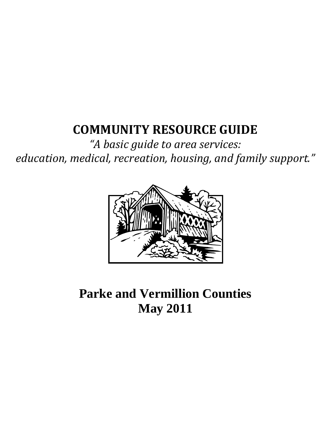## **COMMUNITY RESOURCE GUIDE**

*"A basic guide to area services: education, medical, recreation, housing, and family support."*



**Parke and Vermillion Counties May 2011**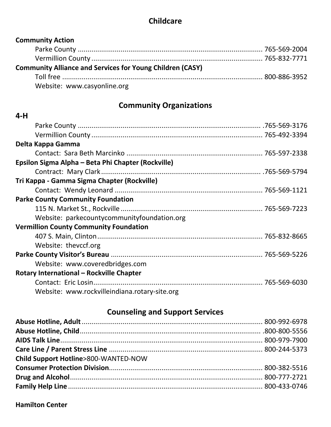#### **Childcare**

#### **Community Action**

| <b>Community Alliance and Services for Young Children (CASY)</b> |  |
|------------------------------------------------------------------|--|
|                                                                  |  |
| Website: www.casyonline.org                                      |  |

#### **Community Organizations**

#### **4-H**

| Delta Kappa Gamma                                  |  |
|----------------------------------------------------|--|
|                                                    |  |
| Epsilon Sigma Alpha – Beta Phi Chapter (Rockville) |  |
|                                                    |  |
| Tri Kappa - Gamma Sigma Chapter (Rockville)        |  |
|                                                    |  |
| <b>Parke County Community Foundation</b>           |  |
|                                                    |  |
| Website: parkecountycommunityfoundation.org        |  |
| <b>Vermillion County Community Foundation</b>      |  |
|                                                    |  |
| Website: thevccf.org                               |  |
|                                                    |  |
| Website: www.coveredbridges.com                    |  |
| Rotary International – Rockville Chapter           |  |
|                                                    |  |
| Website: www.rockvilleindiana.rotary-site.org      |  |
|                                                    |  |

#### **Counseling and Support Services**

**Hamilton Center**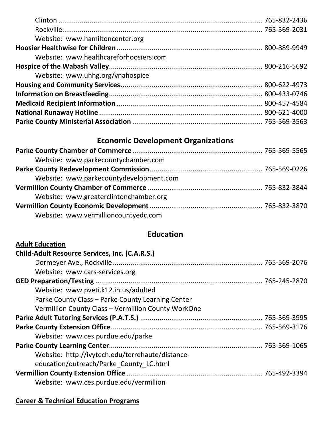| Website: www.hamiltoncenter.org        |  |
|----------------------------------------|--|
|                                        |  |
| Website: www.healthcareforhoosiers.com |  |
|                                        |  |
| Website: www.uhhg.org/vnahospice       |  |
|                                        |  |
|                                        |  |
|                                        |  |
|                                        |  |
|                                        |  |

### **Economic Development Organizations**

| Website: www.parkecountychamber.com     |  |
|-----------------------------------------|--|
|                                         |  |
| Website: www.parkecountydevelopment.com |  |
|                                         |  |
| Website: www.greaterclintonchamber.org  |  |
|                                         |  |
| Website: www.vermillioncountyedc.com    |  |

#### **Education**

| <b>Adult Education</b>                              |  |
|-----------------------------------------------------|--|
| Child-Adult Resource Services, Inc. (C.A.R.S.)      |  |
|                                                     |  |
| Website: www.cars-services.org                      |  |
|                                                     |  |
| Website: www.pveti.k12.in.us/adulted                |  |
| Parke County Class - Parke County Learning Center   |  |
| Vermillion County Class - Vermillion County WorkOne |  |
|                                                     |  |
|                                                     |  |
| Website: www.ces.purdue.edu/parke                   |  |
|                                                     |  |
| Website: http://ivytech.edu/terrehaute/distance-    |  |
| education/outreach/Parke County LC.html             |  |
|                                                     |  |
| Website: www.ces.purdue.edu/vermillion              |  |

#### **Career & Technical Education Programs**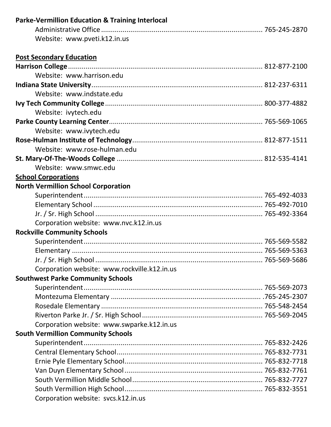| <b>Parke-Vermillion Education &amp; Training Interlocal</b> |  |
|-------------------------------------------------------------|--|
|                                                             |  |
| Website: www.pveti.k12.in.us                                |  |
| <b>Post Secondary Education</b>                             |  |
|                                                             |  |
| Website: www.harrison.edu                                   |  |
|                                                             |  |
| Website: www.indstate.edu                                   |  |
|                                                             |  |
| Website: ivytech.edu                                        |  |
|                                                             |  |
| Website: www.ivytech.edu                                    |  |
|                                                             |  |
| Website: www.rose-hulman.edu                                |  |
|                                                             |  |
| Website: www.smwc.edu                                       |  |
| <b>School Corporations</b>                                  |  |
| <b>North Vermillion School Corporation</b>                  |  |
|                                                             |  |
|                                                             |  |
|                                                             |  |
| Corporation website: www.nvc.k12.in.us                      |  |
| <b>Rockville Community Schools</b>                          |  |
|                                                             |  |
|                                                             |  |
|                                                             |  |
| Corporation website: www.rockville.k12.in.us                |  |
| <b>Southwest Parke Community Schools</b>                    |  |
|                                                             |  |
|                                                             |  |
|                                                             |  |
|                                                             |  |
| Corporation website: www.swparke.k12.in.us                  |  |
| <b>South Vermillion Community Schools</b>                   |  |
|                                                             |  |
|                                                             |  |
|                                                             |  |
|                                                             |  |
|                                                             |  |
|                                                             |  |
| Corporation website: svcs.k12.in.us                         |  |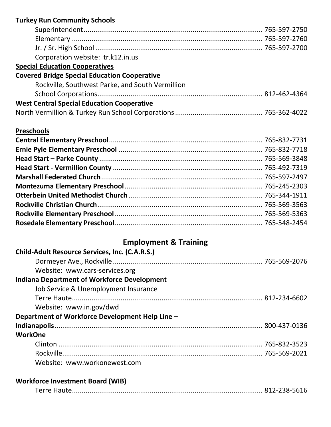#### **Turkey Run Community Schools**

| Corporation website: tr.k12.in.us                   |  |
|-----------------------------------------------------|--|
| <b>Special Education Cooperatives</b>               |  |
| <b>Covered Bridge Special Education Cooperative</b> |  |
| Rockville, Southwest Parke, and South Vermillion    |  |
|                                                     |  |
| <b>West Central Special Education Cooperative</b>   |  |
|                                                     |  |

#### **Preschools**

#### **Employment & Training**

| <b>Child-Adult Resource Services, Inc. (C.A.R.S.)</b> |  |
|-------------------------------------------------------|--|
|                                                       |  |
| Website: www.cars-services.org                        |  |
| <b>Indiana Department of Workforce Development</b>    |  |
| Job Service & Unemployment Insurance                  |  |
|                                                       |  |
| Website: www.in.gov/dwd                               |  |
| Department of Workforce Development Help Line -       |  |
|                                                       |  |
| <b>WorkOne</b>                                        |  |
|                                                       |  |
|                                                       |  |
| Website: www.workonewest.com                          |  |
|                                                       |  |
| <b>Workforce Investment Board (WIB)</b>               |  |

|--|--|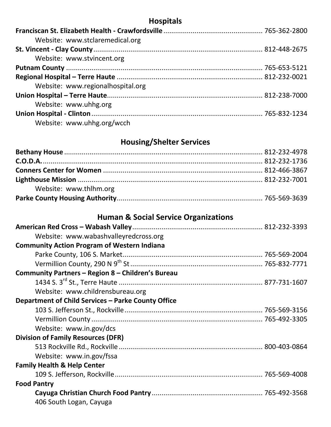#### **Hospitals**

| Website: www.stclaremedical.org   |  |
|-----------------------------------|--|
|                                   |  |
| Website: www.stvincent.org        |  |
|                                   |  |
|                                   |  |
| Website: www.regionalhospital.org |  |
|                                   |  |
| Website: www.uhhg.org             |  |
|                                   |  |
| Website: www.uhhg.org/wcch        |  |

#### **Housing/Shelter Services**

| Website: www.thlhm.org |  |
|------------------------|--|
|                        |  |

#### **Human & Social Service Organizations**

| Website: www.wabashvalleyredcross.org              |  |
|----------------------------------------------------|--|
| <b>Community Action Program of Western Indiana</b> |  |
|                                                    |  |
|                                                    |  |
| Community Partners - Region 8 - Children's Bureau  |  |
|                                                    |  |
| Website: www.childrensbureau.org                   |  |
| Department of Child Services - Parke County Office |  |
|                                                    |  |
|                                                    |  |
| Website: www.in.gov/dcs                            |  |
| <b>Division of Family Resources (DFR)</b>          |  |
|                                                    |  |
| Website: www.in.gov/fssa                           |  |
| <b>Family Health &amp; Help Center</b>             |  |
|                                                    |  |
| <b>Food Pantry</b>                                 |  |
|                                                    |  |
| 406 South Logan, Cayuga                            |  |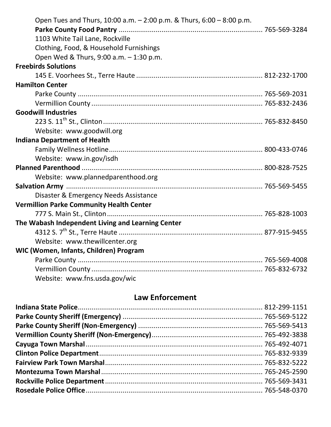| Open Tues and Thurs, 10:00 a.m. $-$ 2:00 p.m. & Thurs, 6:00 $-$ 8:00 p.m. |  |
|---------------------------------------------------------------------------|--|
|                                                                           |  |
| 1103 White Tail Lane, Rockville                                           |  |
| Clothing, Food, & Household Furnishings                                   |  |
| Open Wed & Thurs, 9:00 a.m. - 1:30 p.m.                                   |  |
| <b>Freebirds Solutions</b>                                                |  |
|                                                                           |  |
| <b>Hamilton Center</b>                                                    |  |
|                                                                           |  |
|                                                                           |  |
| <b>Goodwill Industries</b>                                                |  |
|                                                                           |  |
| Website: www.goodwill.org                                                 |  |
| <b>Indiana Department of Health</b>                                       |  |
|                                                                           |  |
| Website: www.in.gov/isdh                                                  |  |
|                                                                           |  |
| Website: www.plannedparenthood.org                                        |  |
|                                                                           |  |
| Disaster & Emergency Needs Assistance                                     |  |
| <b>Vermillion Parke Community Health Center</b>                           |  |
|                                                                           |  |
| The Wabash Independent Living and Learning Center                         |  |
|                                                                           |  |
| Website: www.thewillcenter.org                                            |  |
| WIC (Women, Infants, Children) Program                                    |  |
|                                                                           |  |
|                                                                           |  |
| Website: www.fns.usda.gov/wic                                             |  |

#### **Law Enforcement**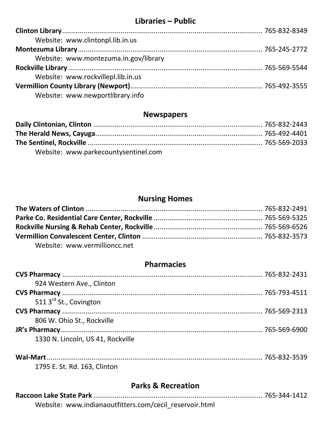#### **Libraries – Public**

| Website: www.clintonpl.lib.in.us      |  |
|---------------------------------------|--|
|                                       |  |
| Website: www.montezuma.in.gov/library |  |
|                                       |  |
| Website: www.rockvillepl.lib.in.us    |  |
|                                       |  |
| Website: www.newportlibrary.info      |  |

#### **Newspapers**

| Website: www.parkecountysentinel.com |  |
|--------------------------------------|--|

#### **Nursing Homes**

| Website: www.vermillioncc.net |  |
|-------------------------------|--|

#### **Pharmacies**

| 924 Western Ave., Clinton          |  |
|------------------------------------|--|
|                                    |  |
| 511 3 <sup>rd</sup> St., Covington |  |
|                                    |  |
| 806 W. Ohio St., Rockville         |  |
|                                    |  |
| 1330 N. Lincoln, US 41, Rockville  |  |

| 1795 E. St. Rd. 163, Clinton |  |
|------------------------------|--|

#### **Parks & Recreation**

| Website: www.indianaoutfitters.com/cecil reservoir.html |  |
|---------------------------------------------------------|--|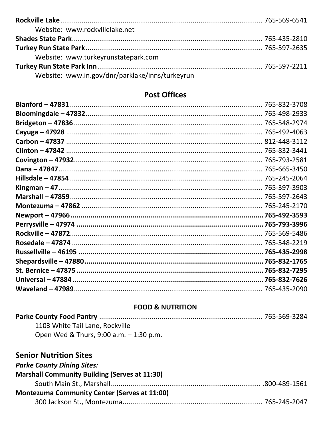| Website: www.rockvillelake.net                  |  |
|-------------------------------------------------|--|
|                                                 |  |
|                                                 |  |
| Website: www.turkeyrunstatepark.com             |  |
|                                                 |  |
| Website: www.in.gov/dnr/parklake/inns/turkeyrun |  |

#### **Post Offices**

#### **FOOD & NUTRITION**

| 1103 White Tail Lane, Rockville            |  |
|--------------------------------------------|--|
| Open Wed & Thurs, $9:00$ a.m. $-1:30$ p.m. |  |

| <b>Senior Nutrition Sites</b>                        |  |
|------------------------------------------------------|--|
| <b>Parke County Dining Sites:</b>                    |  |
| <b>Marshall Community Building (Serves at 11:30)</b> |  |
|                                                      |  |
| <b>Montezuma Community Center (Serves at 11:00)</b>  |  |
|                                                      |  |